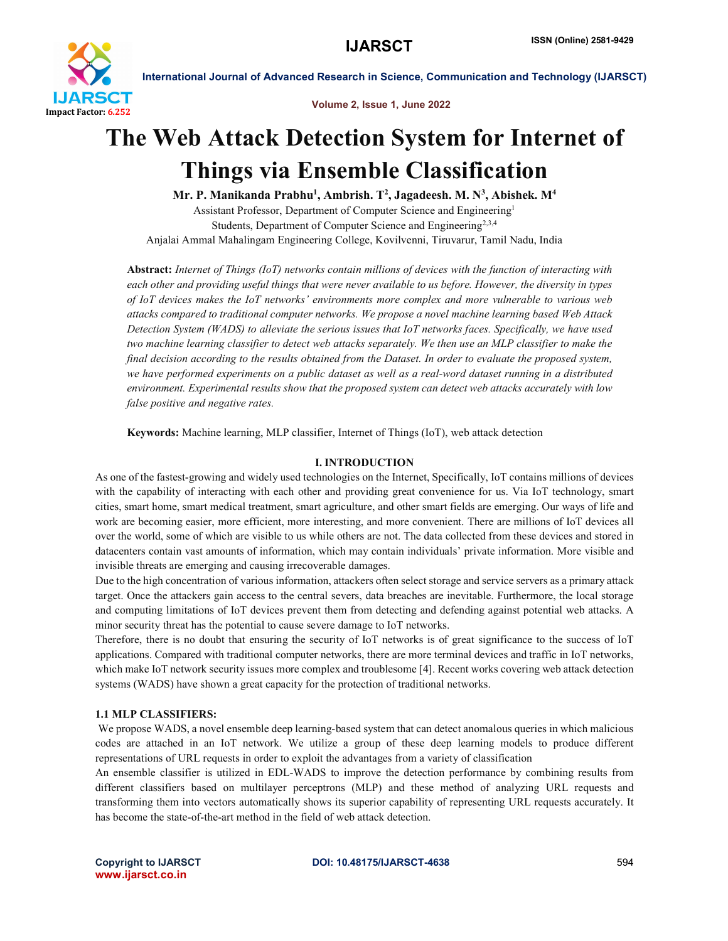

Volume 2, Issue 1, June 2022

# The Web Attack Detection System for Internet of Things via Ensemble Classification

Mr. P. Manikanda Prabhu<sup>1</sup>, Ambrish. T<sup>2</sup>, Jagadeesh. M. N<sup>3</sup>, Abishek. M<sup>4</sup>

Assistant Professor, Department of Computer Science and Engineering1 Students, Department of Computer Science and Engineering<sup>2,3,4</sup> Anjalai Ammal Mahalingam Engineering College, Kovilvenni, Tiruvarur, Tamil Nadu, India

Abstract: *Internet of Things (IoT) networks contain millions of devices with the function of interacting with each other and providing useful things that were never available to us before. However, the diversity in types of IoT devices makes the IoT networks' environments more complex and more vulnerable to various web attacks compared to traditional computer networks. We propose a novel machine learning based Web Attack Detection System (WADS) to alleviate the serious issues that IoT networks faces. Specifically, we have used two machine learning classifier to detect web attacks separately. We then use an MLP classifier to make the final decision according to the results obtained from the Dataset. In order to evaluate the proposed system, we have performed experiments on a public dataset as well as a real-word dataset running in a distributed environment. Experimental results show that the proposed system can detect web attacks accurately with low false positive and negative rates.*

Keywords: Machine learning, MLP classifier, Internet of Things (IoT), web attack detection

## I. INTRODUCTION

As one of the fastest-growing and widely used technologies on the Internet, Specifically, IoT contains millions of devices with the capability of interacting with each other and providing great convenience for us. Via IoT technology, smart cities, smart home, smart medical treatment, smart agriculture, and other smart fields are emerging. Our ways of life and work are becoming easier, more efficient, more interesting, and more convenient. There are millions of IoT devices all over the world, some of which are visible to us while others are not. The data collected from these devices and stored in datacenters contain vast amounts of information, which may contain individuals' private information. More visible and invisible threats are emerging and causing irrecoverable damages.

Due to the high concentration of various information, attackers often select storage and service servers as a primary attack target. Once the attackers gain access to the central severs, data breaches are inevitable. Furthermore, the local storage and computing limitations of IoT devices prevent them from detecting and defending against potential web attacks. A minor security threat has the potential to cause severe damage to IoT networks.

Therefore, there is no doubt that ensuring the security of IoT networks is of great significance to the success of IoT applications. Compared with traditional computer networks, there are more terminal devices and traffic in IoT networks, which make IoT network security issues more complex and troublesome [4]. Recent works covering web attack detection systems (WADS) have shown a great capacity for the protection of traditional networks.

## 1.1 MLP CLASSIFIERS:

We propose WADS, a novel ensemble deep learning-based system that can detect anomalous queries in which malicious codes are attached in an IoT network. We utilize a group of these deep learning models to produce different representations of URL requests in order to exploit the advantages from a variety of classification

An ensemble classifier is utilized in EDL-WADS to improve the detection performance by combining results from different classifiers based on multilayer perceptrons (MLP) and these method of analyzing URL requests and transforming them into vectors automatically shows its superior capability of representing URL requests accurately. It has become the state-of-the-art method in the field of web attack detection.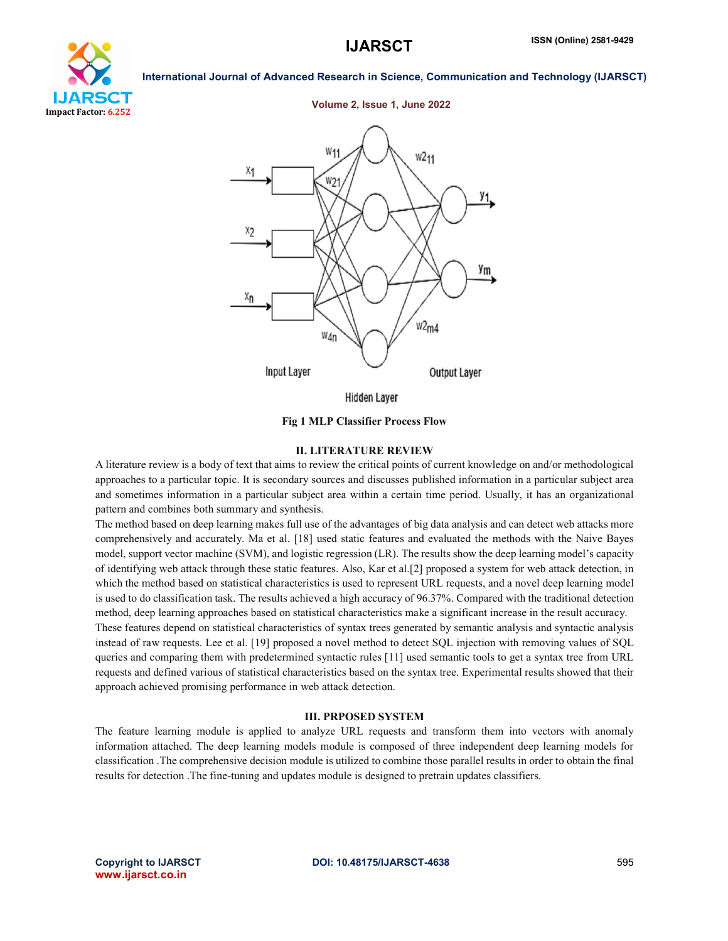



## Volume 2, Issue 1, June 2022



Fig 1 MLP Classifier Process Flow

## II. LITERATURE REVIEW

A literature review is a body of text that aims to review the critical points of current knowledge on and/or methodological approaches to a particular topic. It is secondary sources and discusses published information in a particular subject area and sometimes information in a particular subject area within a certain time period. Usually, it has an organizational pattern and combines both summary and synthesis.

The method based on deep learning makes full use of the advantages of big data analysis and can detect web attacks more comprehensively and accurately. Ma et al. [18] used static features and evaluated the methods with the Naive Bayes model, support vector machine (SVM), and logistic regression (LR). The results show the deep learning model's capacity of identifying web attack through these static features. Also, Kar et al.[2] proposed a system for web attack detection, in which the method based on statistical characteristics is used to represent URL requests, and a novel deep learning model is used to do classification task. The results achieved a high accuracy of 96.37%. Compared with the traditional detection method, deep learning approaches based on statistical characteristics make a significant increase in the result accuracy. These features depend on statistical characteristics of syntax trees generated by semantic analysis and syntactic analysis instead of raw requests. Lee et al. [19] proposed a novel method to detect SQL injection with removing values of SQL queries and comparing them with predetermined syntactic rules [11] used semantic tools to get a syntax tree from URL requests and defined various of statistical characteristics based on the syntax tree. Experimental results showed that their approach achieved promising performance in web attack detection.

### III. PRPOSED SYSTEM

The feature learning module is applied to analyze URL requests and transform them into vectors with anomaly information attached. The deep learning models module is composed of three independent deep learning models for classification .The comprehensive decision module is utilized to combine those parallel results in order to obtain the final results for detection .The fine-tuning and updates module is designed to pretrain updates classifiers.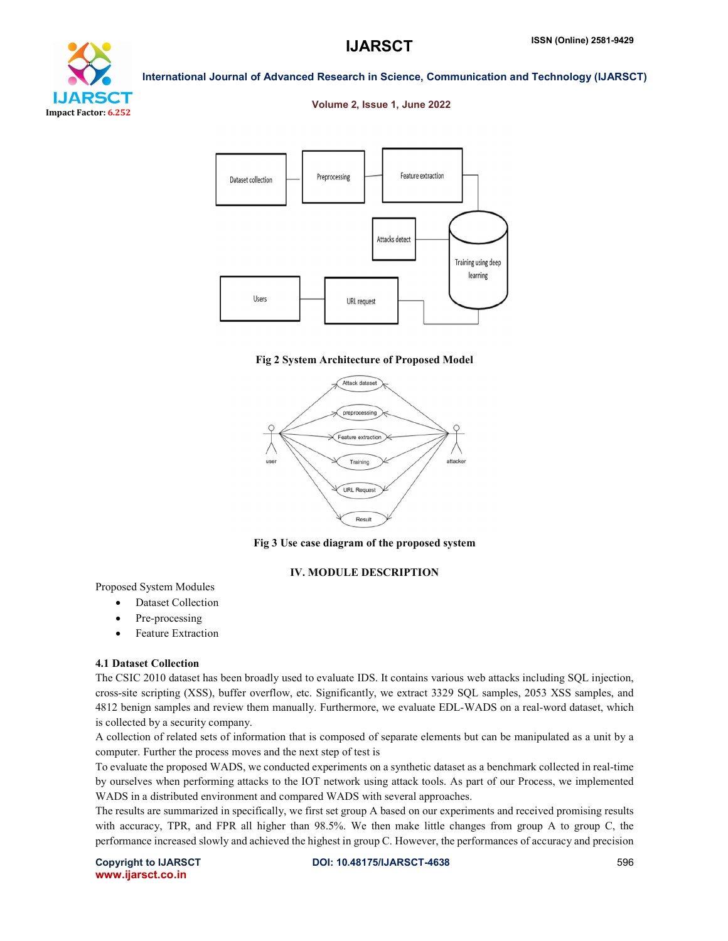# ea r Impact Factor: 6.252

International Journal of Advanced Research in Science, Communication and Technology (IJARSCT)

## Volume 2, Issue 1, June 2022



## Fig 2 System Architecture of Proposed Model



Fig 3 Use case diagram of the proposed system

## IV. MODULE DESCRIPTION

Proposed System Modules

- Dataset Collection
- Pre-processing
- Feature Extraction

## 4.1 Dataset Collection

The CSIC 2010 dataset has been broadly used to evaluate IDS. It contains various web attacks including SQL injection, cross-site scripting (XSS), buffer overflow, etc. Significantly, we extract 3329 SQL samples, 2053 XSS samples, and 4812 benign samples and review them manually. Furthermore, we evaluate EDL-WADS on a real-word dataset, which is collected by a security company.

A collection of related sets of information that is composed of separate elements but can be manipulated as a unit by a computer. Further the process moves and the next step of test is

To evaluate the proposed WADS, we conducted experiments on a synthetic dataset as a benchmark collected in real-time by ourselves when performing attacks to the IOT network using attack tools. As part of our Process, we implemented WADS in a distributed environment and compared WADS with several approaches.

The results are summarized in specifically, we first set group A based on our experiments and received promising results with accuracy, TPR, and FPR all higher than 98.5%. We then make little changes from group A to group C, the performance increased slowly and achieved the highest in group C. However, the performances of accuracy and precision

www.ijarsct.co.in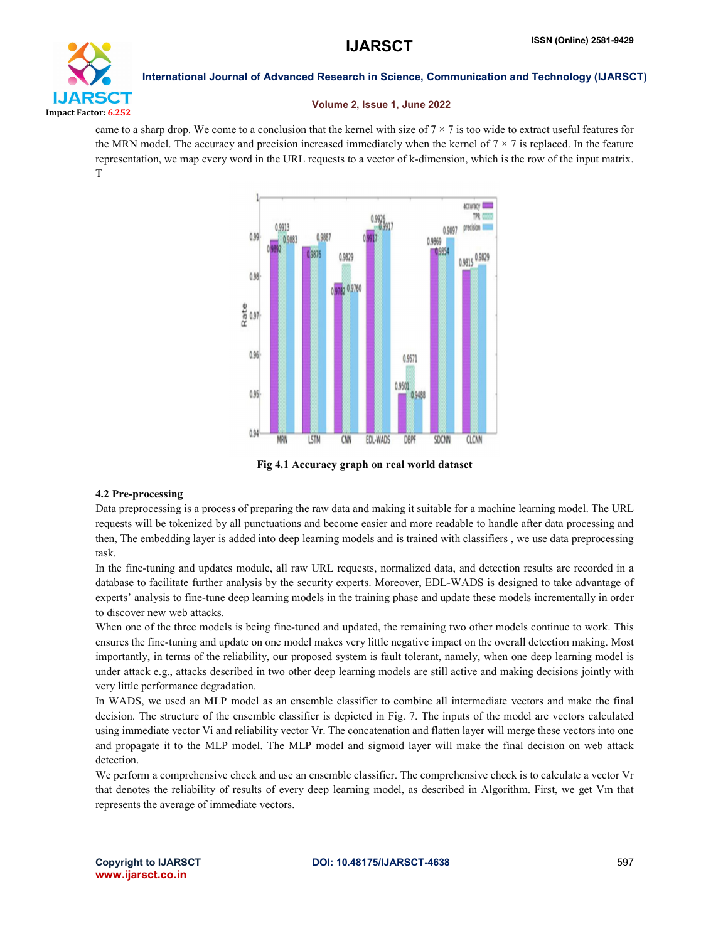

## Volume 2, Issue 1, June 2022

came to a sharp drop. We come to a conclusion that the kernel with size of  $7 \times 7$  is too wide to extract useful features for the MRN model. The accuracy and precision increased immediately when the kernel of  $7 \times 7$  is replaced. In the feature representation, we map every word in the URL requests to a vector of k-dimension, which is the row of the input matrix. T



Fig 4.1 Accuracy graph on real world dataset

## 4.2 Pre-processing

Data preprocessing is a process of preparing the raw data and making it suitable for a machine learning model. The URL requests will be tokenized by all punctuations and become easier and more readable to handle after data processing and then, The embedding layer is added into deep learning models and is trained with classifiers , we use data preprocessing task.

In the fine-tuning and updates module, all raw URL requests, normalized data, and detection results are recorded in a database to facilitate further analysis by the security experts. Moreover, EDL-WADS is designed to take advantage of experts' analysis to fine-tune deep learning models in the training phase and update these models incrementally in order to discover new web attacks.

When one of the three models is being fine-tuned and updated, the remaining two other models continue to work. This ensures the fine-tuning and update on one model makes very little negative impact on the overall detection making. Most importantly, in terms of the reliability, our proposed system is fault tolerant, namely, when one deep learning model is under attack e.g., attacks described in two other deep learning models are still active and making decisions jointly with very little performance degradation.

In WADS, we used an MLP model as an ensemble classifier to combine all intermediate vectors and make the final decision. The structure of the ensemble classifier is depicted in Fig. 7. The inputs of the model are vectors calculated using immediate vector Vi and reliability vector Vr. The concatenation and flatten layer will merge these vectors into one and propagate it to the MLP model. The MLP model and sigmoid layer will make the final decision on web attack detection.

We perform a comprehensive check and use an ensemble classifier. The comprehensive check is to calculate a vector Vr that denotes the reliability of results of every deep learning model, as described in Algorithm. First, we get Vm that represents the average of immediate vectors.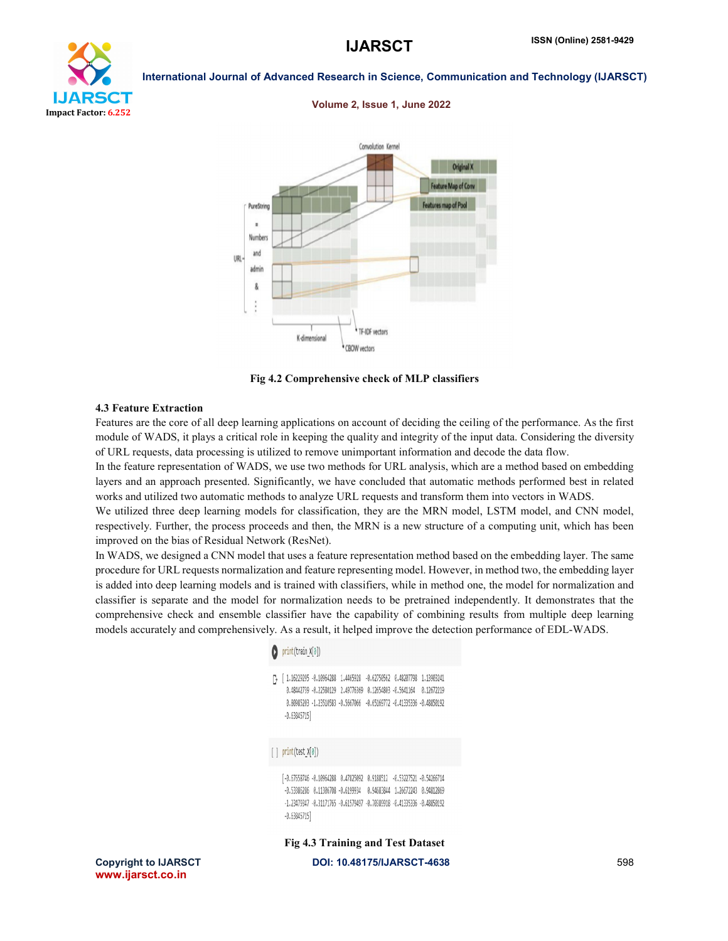## LIARS CT Impact Factor: 6.252

International Journal of Advanced Research in Science, Communication and Technology (IJARSCT)

## Volume 2, Issue 1, June 2022



Fig 4.2 Comprehensive check of MLP classifiers

## 4.3 Feature Extraction

Features are the core of all deep learning applications on account of deciding the ceiling of the performance. As the first module of WADS, it plays a critical role in keeping the quality and integrity of the input data. Considering the diversity of URL requests, data processing is utilized to remove unimportant information and decode the data flow.

In the feature representation of WADS, we use two methods for URL analysis, which are a method based on embedding layers and an approach presented. Significantly, we have concluded that automatic methods performed best in related works and utilized two automatic methods to analyze URL requests and transform them into vectors in WADS.

We utilized three deep learning models for classification, they are the MRN model, LSTM model, and CNN model, respectively. Further, the process proceeds and then, the MRN is a new structure of a computing unit, which has been improved on the bias of Residual Network (ResNet).

In WADS, we designed a CNN model that uses a feature representation method based on the embedding layer. The same procedure for URL requests normalization and feature representing model. However, in method two, the embedding layer is added into deep learning models and is trained with classifiers, while in method one, the model for normalization and classifier is separate and the model for normalization needs to be pretrained independently. It demonstrates that the comprehensive check and ensemble classifier have the capability of combining results from multiple deep learning models accurately and comprehensively. As a result, it helped improve the detection performance of EDL-WADS.

## $print(train_X[0])$ [} [1.16229295 -0.10964288 1.4465928 -0.62750562 0.48207798 1.13903241 0.48442739 -0.22580129 2.49776369 0.12654803 -0.5641164 0.12672219 0.80985203 -1.23510583 -0.5667066 -0.65169772 -0.41335336 -0.48850192  $-0.63845715$  $[ ]$  print(test\_X[0])

 $[\text{-}0.67658746\text{ -}0.10964288\text{ -}0.47825092\text{ -}0.9188512\text{ -}0.53227521\text{ -}0.54266714$  $-0.53386286 \quad 0.11306708 \quad -0.6199934 \quad 0.94683844 \quad 1.26672243 \quad 0.94812869$  $-1.23479347 - 0.31171765 - 0.61579497 - 0.70389918 - 0.41335336 - 0.48850192$  $-0.63845715$ 

Fig 4.3 Training and Test Dataset

Copyright to IJARSCT **DOI: 10.48175/IJARSCT-4638** 598 www.ijarsct.co.in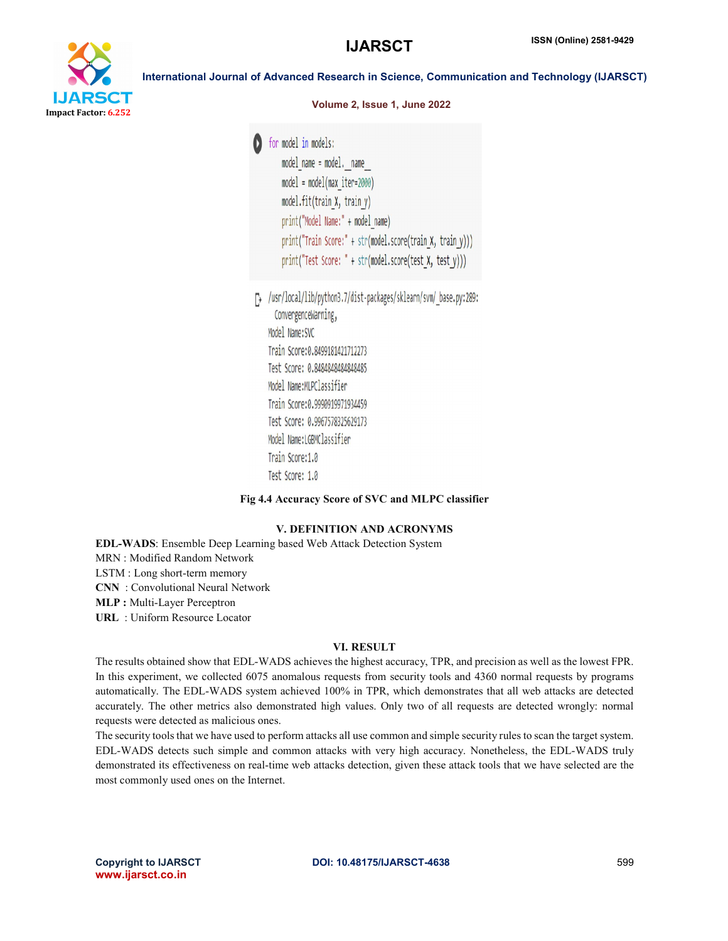

Volume 2, Issue 1, June 2022

**D** for model in models: model name = model. name model = model(max iter=2000) model.fit(train X, train y) print("Model Name:" + model name) print("Train Score:" + str(model.score(train X, train y))) print("Test Score: " + str(model.score(test X, test y)))

T> /usr/local/lib/python3.7/dist-packages/sklearn/svm/ base.py:289: ConvergenceWarning, Model Name: SVC Train Score: 0.8499181421712273 Test Score: 0.8484848484848485 Model Name:MLPClassifier Train Score: 0.9990919971934459 Test Score: 0.9967578325629173 Model Name:LGBMClassifier Train Score: 1.0 Test Score: 1.0

## Fig 4.4 Accuracy Score of SVC and MLPC classifier

## V. DEFINITION AND ACRONYMS

EDL-WADS: Ensemble Deep Learning based Web Attack Detection System MRN : Modified Random Network LSTM : Long short-term memory CNN : Convolutional Neural Network MLP : Multi-Layer Perceptron URL : Uniform Resource Locator

## VI. RESULT

The results obtained show that EDL-WADS achieves the highest accuracy, TPR, and precision as well as the lowest FPR. In this experiment, we collected 6075 anomalous requests from security tools and 4360 normal requests by programs automatically. The EDL-WADS system achieved 100% in TPR, which demonstrates that all web attacks are detected accurately. The other metrics also demonstrated high values. Only two of all requests are detected wrongly: normal requests were detected as malicious ones.

The security tools that we have used to perform attacks all use common and simple security rules to scan the target system. EDL-WADS detects such simple and common attacks with very high accuracy. Nonetheless, the EDL-WADS truly demonstrated its effectiveness on real-time web attacks detection, given these attack tools that we have selected are the most commonly used ones on the Internet.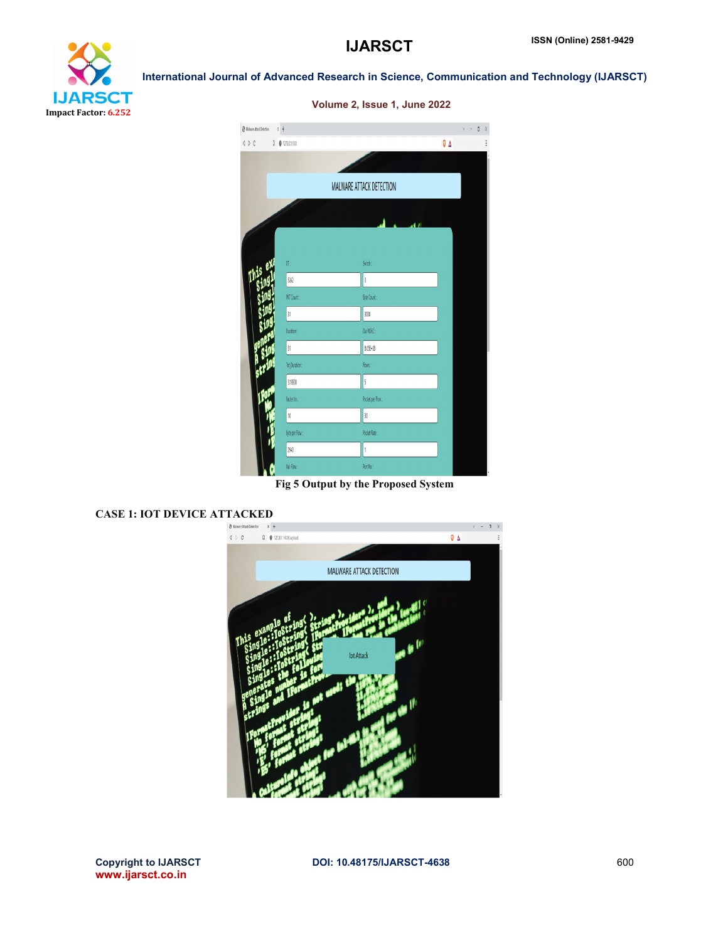

| <b>@</b> Maluare Attack Detection<br>$\left\langle \begin{array}{c} 1 \end{array} \right\rangle$ | $x +$<br>0.02700.1400 |                          | $v - 0$         |
|--------------------------------------------------------------------------------------------------|-----------------------|--------------------------|-----------------|
|                                                                                                  |                       |                          | $\nabla \Delta$ |
|                                                                                                  |                       |                          |                 |
|                                                                                                  |                       | MALWARE ATTACK DETECTION |                 |
|                                                                                                  |                       |                          |                 |
|                                                                                                  |                       |                          | 47              |
|                                                                                                  |                       |                          |                 |
|                                                                                                  | OT:                   | Svitch:                  |                 |
|                                                                                                  | 5262                  | $\frac{1}{3}$            |                 |
|                                                                                                  | PKT Count:            | Byte Count:              |                 |
|                                                                                                  | 31                    | 3030                     |                 |
|                                                                                                  | Duration:             | Dur NSEC:                |                 |
|                                                                                                  | 31                    | 8.05E+08                 |                 |
|                                                                                                  | Tot Duration:         | Flows:                   |                 |
|                                                                                                  | 3.13E08               | 5                        |                 |
|                                                                                                  | Packet Irs:           | Pocket per Flow:         |                 |
|                                                                                                  | 10                    | O                        |                 |
|                                                                                                  | <b>DyteperFlow:</b>   | Pocket Rate:             |                 |
|                                                                                                  | 2940                  | $\mathbf{1}$             |                 |
|                                                                                                  | Pair Flow:            | Port No:                 |                 |

## Volume 2, Issue 1, June 2022

International Journal of Advanced Research in Science, Communication and Technology (IJARSCT)

Fig 5 Output by the Proposed System

## CASE 1: IOT DEVICE ATTACKED

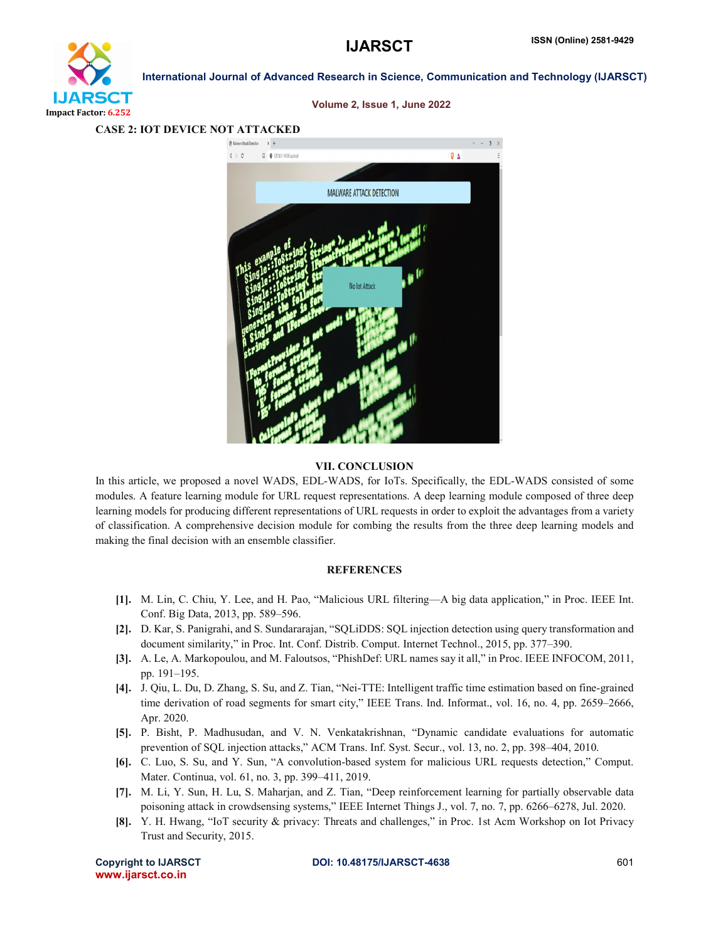



### Volume 2, Issue 1, June 2022

## CASE 2: IOT DEVICE NOT ATTACKED

## VII. CONCLUSION

In this article, we proposed a novel WADS, EDL-WADS, for IoTs. Specifically, the EDL-WADS consisted of some modules. A feature learning module for URL request representations. A deep learning module composed of three deep learning models for producing different representations of URL requests in order to exploit the advantages from a variety of classification. A comprehensive decision module for combing the results from the three deep learning models and making the final decision with an ensemble classifier.

## **REFERENCES**

- [1]. M. Lin, C. Chiu, Y. Lee, and H. Pao, "Malicious URL filtering—A big data application," in Proc. IEEE Int. Conf. Big Data, 2013, pp. 589–596.
- [2]. D. Kar, S. Panigrahi, and S. Sundararajan, "SQLiDDS: SQL injection detection using query transformation and document similarity," in Proc. Int. Conf. Distrib. Comput. Internet Technol., 2015, pp. 377–390.
- [3]. A. Le, A. Markopoulou, and M. Faloutsos, "PhishDef: URL names say it all," in Proc. IEEE INFOCOM, 2011, pp. 191–195.
- [4]. J. Qiu, L. Du, D. Zhang, S. Su, and Z. Tian, "Nei-TTE: Intelligent traffic time estimation based on fine-grained time derivation of road segments for smart city," IEEE Trans. Ind. Informat., vol. 16, no. 4, pp. 2659–2666, Apr. 2020.
- [5]. P. Bisht, P. Madhusudan, and V. N. Venkatakrishnan, "Dynamic candidate evaluations for automatic prevention of SQL injection attacks," ACM Trans. Inf. Syst. Secur., vol. 13, no. 2, pp. 398–404, 2010.
- [6]. C. Luo, S. Su, and Y. Sun, "A convolution-based system for malicious URL requests detection," Comput. Mater. Continua, vol. 61, no. 3, pp. 399–411, 2019.
- [7]. M. Li, Y. Sun, H. Lu, S. Maharjan, and Z. Tian, "Deep reinforcement learning for partially observable data poisoning attack in crowdsensing systems," IEEE Internet Things J., vol. 7, no. 7, pp. 6266–6278, Jul. 2020.
- [8]. Y. H. Hwang, "IoT security & privacy: Threats and challenges," in Proc. 1st Acm Workshop on Iot Privacy Trust and Security, 2015.